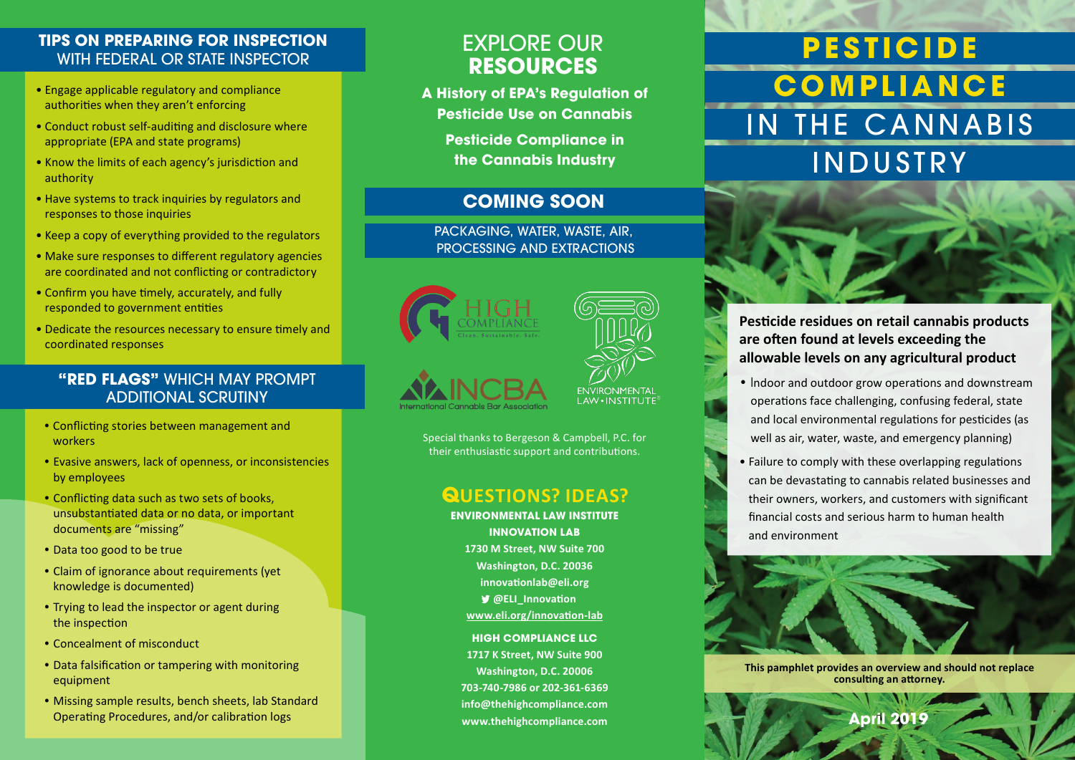### **TIPS ON PREPARING FOR INSPECTION**  WITH FEDERAL OR STATE INSPECTOR

- Engage applicable regulatory and compliance authorities when they aren't enforcing
- Conduct robust self-auditing and disclosure where appropriate (EPA and state programs)
- Know the limits of each agency's jurisdiction and authority
- Have systems to track inquiries by regulators and responses to those inquiries
- Keep a copy of everything provided to the regulators
- Make sure responses to different regulatory agencies are coordinated and not conflicting or contradictory
- Confirm you have timely, accurately, and fully responded to government entities
- Dedicate the resources necessary to ensure timely and coordinated responses

### **"RED FLAGS"** WHICH MAY PROMPT ADDITIONAL SCRUTINY

- Conflicting stories between management and workers
- Evasive answers, lack of openness, or inconsistencies by employees
- Conflicting data such as two sets of books, unsubstantiated data or no data, or important documents are "missing"
- Data too good to be true
- Claim of ignorance about requirements (yet knowledge is documented)
- Trying to lead the inspector or agent during the inspection
- Concealment of misconduct
- Data falsification or tampering with monitoring equipment
- Missing sample results, bench sheets, lab Standard Operating Procedures, and/or calibration logs

# EXPLORE OUR **RESOURCES**

**A History of EPA's Regulation of Pesticide Use on Cannabis**

> **Pesticide Compliance in the Cannabis Industry**

### **COMING SOON**

PACKAGING, WATER, WASTE, AIR, PROCESSING AND EXTRACTIONS





Special thanks to Bergeson & Campbell, P.C. for their enthusiastic support and contributions.

## **QUESTIONS? IDEAS?**

**ENVIRONMENTAL LAW INSTITUTE INNOVATION LAB 1730 M Street, NW Suite 700 Washington, D.C. 20036 innovationlab@eli.org @ELI\_Innovation www.eli.org/innovation-lab**

**HIGH COMPLIANCE LLC 1717 K Street, NW Suite 900 Washington, D.C. 20006 703-740-7986 or 202-361-6369 info@thehighcompliance.com www.thehighcompliance.com**

# **PE S TICI DE COMPLIANCE** IN THE CANNABIS INDUSTRY



- Indoor and outdoor grow operations and downstream operations face challenging, confusing federal, state and local environmental regulations for pesticides (as well as air, water, waste, and emergency planning)
- Failure to comply with these overlapping regulations can be devastating to cannabis related businesses and their owners, workers, and customers with significant financial costs and serious harm to human health and environment



**This pamphlet provides an overview and should not replace consulting an attorney.**

**April 2019**